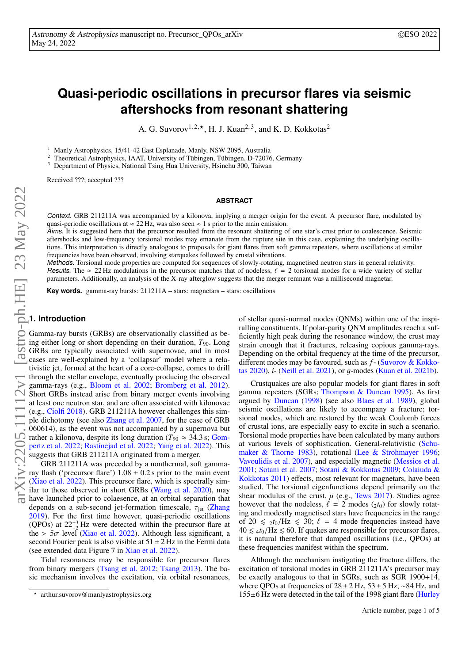# **Quasi-periodic oscillations in precursor flares via seismic aftershocks from resonant shattering**

A. G. Suvorov<sup>1, 2,  $\star$ </sup>, H. J. Kuan<sup>2, 3</sup>, and K. D. Kokkotas<sup>2</sup>

<sup>1</sup> Manly Astrophysics, 15/41-42 East Esplanade, Manly, NSW 2095, Australia

<sup>2</sup> Theoretical Astrophysics, IAAT, University of Tübingen, Tübingen, D-72076, Germany

<sup>3</sup> Department of Physics, National Tsing Hua University, Hsinchu 300, Taiwan

Received ???; accepted ???

#### **ABSTRACT**

Context. GRB 211211A was accompanied by a kilonova, implying a merger origin for the event. A precursor flare, modulated by quasi-periodic oscillations at  $\approx 22$  Hz, was also seen  $\approx 1$  s prior to the main emission.

Aims. It is suggested here that the precursor resulted from the resonant shattering of one star's crust prior to coalescence. Seismic aftershocks and low-frequency torsional modes may emanate from the rupture site in this case, explaining the underlying oscillations. This interpretation is directly analogous to proposals for giant flares from soft gamma repeaters, where oscillations at similar frequencies have been observed, involving starquakes followed by crustal vibrations.

Methods. Torsional mode properties are computed for sequences of slowly-rotating, magnetised neutron stars in general relativity. Results. The  $\approx 22$  Hz modulations in the precursor matches that of nodeless,  $\ell = 2$  torsional modes for a wide variety of stellar parameters. Additionally, an analysis of the X-ray afterglow suggests that the merger remnant was a millisecond magnetar.

**Key words.** gamma-ray bursts: 211211A – stars: magnetars – stars: oscillations

## **1. Introduction**

Gamma-ray bursts (GRBs) are observationally classified as being either long or short depending on their duration, *T*90. Long GRBs are typically associated with supernovae, and in most cases are well-explained by a 'collapsar' model where a relativistic jet, formed at the heart of a core-collapse, comes to drill through the stellar envelope, eventually producing the observed gamma-rays (e.g., [Bloom et al.](#page-3-0) [2002;](#page-3-0) [Bromberg et al.](#page-3-1) [2012\)](#page-3-1). Short GRBs instead arise from binary merger events involving at least one neutron star, and are often associated with kilonovae (e.g., [Ciolfi](#page-3-2) [2018\)](#page-3-2). GRB 211211A however challenges this sim-ple dichotomy (see also [Zhang et al.](#page-3-3) [2007,](#page-3-3) for the case of GRB 060614), as the event was not accompanied by a supernova but rather a kilonova, despite its long duration ( $T_{90} \approx 34.3$  s; Gom[pertz et al.](#page-3-4) [2022;](#page-3-5) [Rastinejad et al.](#page-3-5) 2022; [Yang et al.](#page-3-6) [2022\)](#page-3-6). This suggests that GRB 211211A originated from a merger.

GRB 211211A was preceded by a nonthermal, soft gammaray flash ('precursor flare')  $1.08 \pm 0.2$  s prior to the main event [\(Xiao et al.](#page-3-7) [2022\)](#page-3-7). This precursor flare, which is spectrally similar to those observed in short GRBs [\(Wang et al.](#page-3-8) [2020\)](#page-3-8), may have launched prior to colaesence, at an orbital separation that depends on a sub-second jet-formation timescale,  $\tau_{jet}$  [\(Zhang](#page-3-9) [2019\)](#page-3-9). For the first time however, quasi-periodic oscillations (QPOs) at  $22^{+3}_{-2}$  Hz were detected within the precursor flare at the >  $5\sigma$  level [\(Xiao et al.](#page-3-7) [2022\)](#page-3-7). Although less significant, a second Fourier peak is also visible at  $51 \pm 2$  Hz in the Fermi data (see extended data Figure 7 in [Xiao et al.](#page-3-7) [2022\)](#page-3-7).

Tidal resonances may be responsible for precursor flares from binary mergers [\(Tsang et al.](#page-3-10) [2012;](#page-3-10) [Tsang](#page-3-11) [2013\)](#page-3-11). The basic mechanism involves the excitation, via orbital resonances, of stellar quasi-normal modes (QNMs) within one of the inspiralling constituents. If polar-parity QNM amplitudes reach a sufficiently high peak during the resonance window, the crust may strain enough that it fractures, releasing copious gamma-rays. Depending on the orbital frequency at the time of the precursor, different modes may be favoured, such as *f*- [\(Suvorov & Kokko](#page-3-12)[tas](#page-3-12) [2020\)](#page-3-12), *<sup>i</sup>*- [\(Neill et al.](#page-3-13) [2021\)](#page-3-13), or g-modes [\(Kuan et al.](#page-3-14) [2021b\)](#page-3-14).

Crustquakes are also popular models for giant flares in soft gamma repeaters (SGRs; [Thompson & Duncan](#page-3-15) [1995\)](#page-3-15). As first argued by [Duncan](#page-3-16) [\(1998\)](#page-3-16) (see also [Blaes et al.](#page-3-17) [1989\)](#page-3-17), global seismic oscillations are likely to accompany a fracture; torsional modes, which are restored by the weak Coulomb forces of crustal ions, are especially easy to excite in such a scenario. Torsional mode properties have been calculated by many authors at various levels of sophistication. General-relativistic [\(Schu](#page-3-18)[maker & Thorne](#page-3-18) [1983\)](#page-3-18), rotational [\(Lee & Strohmayer](#page-3-19) [1996;](#page-3-19) [Vavoulidis et al.](#page-3-20) [2007\)](#page-3-20), and especially magnetic [\(Messios et al.](#page-3-21) [2001;](#page-3-21) [Sotani et al.](#page-3-22) [2007;](#page-3-22) [Sotani & Kokkotas](#page-3-23) [2009;](#page-3-23) [Colaiuda &](#page-3-24) [Kokkotas](#page-3-24) [2011\)](#page-3-24) effects, most relevant for magnetars, have been studied. The torsional eigenfunctions depend primarily on the shear modulus of the crust,  $\mu$  (e.g., [Tews](#page-3-25) [2017\)](#page-3-25). Studies agree however that the nodeless,  $\ell = 2$  modes ( $_2t_0$ ) for slowly rotating and modestly magnetised stars have frequencies in the range of 20  $\leq$  2t<sub>0</sub>/Hz  $\leq$  30;  $\ell = 4$  mode frequencies instead have  $40 \leq 4t_0$ /Hz  $\leq 60$ . If quakes are responsible for precursor flares, it is natural therefore that damped oscillations (i.e., QPOs) at these frequencies manifest within the spectrum.

Although the mechanism instigating the fracture differs, the excitation of torsional modes in GRB 211211A's precursor may be exactly analogous to that in SGRs, such as SGR 1900+14, where QPOs at frequencies of 28±2 Hz, 53±5 Hz, ∼84 Hz, and 155±6 Hz were detected in the tail of the 1998 giant flare [\(Hurley](#page-3-26)

<sup>?</sup> arthur.suvorov@manlyastrophysics.org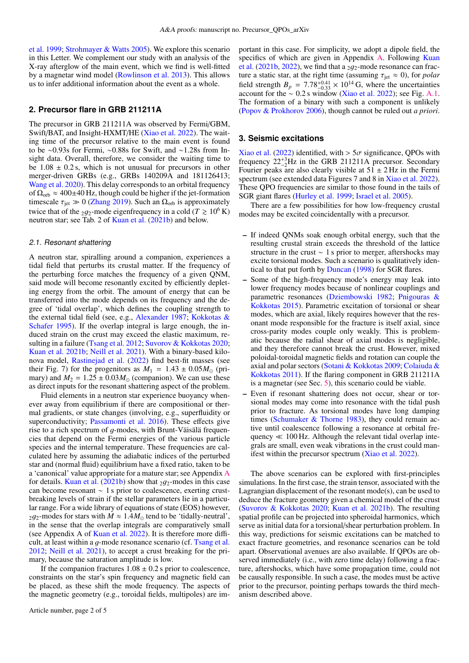[et al.](#page-3-26) [1999;](#page-3-26) [Strohmayer & Watts](#page-3-27) [2005\)](#page-3-27). We explore this scenario in this Letter. We complement our study with an analysis of the X-ray afterglow of the main event, which we find is well-fitted by a magnetar wind model [\(Rowlinson et al.](#page-3-28) [2013\)](#page-3-28). This allows us to infer additional information about the event as a whole.

## **2. Precursor flare in GRB 211211A**

The precursor in GRB 211211A was observed by Fermi/GBM, Swift/BAT, and Insight-HXMT/HE [\(Xiao et al.](#page-3-7) [2022\)](#page-3-7). The waiting time of the precursor relative to the main event is found to be ∼0.93s for Fermi, ∼0.88s for Swift, and ∼1.28s from Insight data. Overall, therefore, we consider the waiting time to be  $1.08 \pm 0.2$  s, which is not unusual for precursors in other merger-driven GRBs (e.g., GRBs 140209A and 181126413; [Wang et al.](#page-3-8) [2020\)](#page-3-8). This delay corresponds to an orbital frequency of  $\Omega_{\rm orb} \approx 400\pm 40$  Hz, though could be higher if the jet-formation timescale  $\tau_{jet} \gg 0$  [\(Zhang](#page-3-9) [2019\)](#page-3-9). Such an  $\Omega_{orb}$  is approximately twice that of the <sub>2</sub> $q_2$ -mode eigenfrequency in a cold ( $T \ge 10^6$  K) neutron star; see Tab. 2 of [Kuan et al.](#page-3-14) [\(2021b\)](#page-3-14) and below.

#### <span id="page-1-0"></span>2.1. Resonant shattering

A neutron star, spiralling around a companion, experiences a tidal field that perturbs its crustal matter. If the frequency of the perturbing force matches the frequency of a given QNM, said mode will become resonantly excited by efficiently depleting energy from the orbit. The amount of energy that can be transferred into the mode depends on its frequency and the degree of 'tidal overlap', which defines the coupling strength to the external tidal field (see, e.g., [Alexander](#page-3-29) [1987;](#page-3-29) [Kokkotas &](#page-3-30) [Schafer](#page-3-30) [1995\)](#page-3-30). If the overlap integral is large enough, the induced strain on the crust may exceed the elastic maximum, re-sulting in a failure [\(Tsang et al.](#page-3-10) [2012;](#page-3-10) [Suvorov & Kokkotas](#page-3-12) [2020;](#page-3-12) [Kuan et al.](#page-3-14) [2021b;](#page-3-14) [Neill et al.](#page-3-13) [2021\)](#page-3-13). With a binary-based kilonova model, [Rastinejad et al.](#page-3-5) [\(2022\)](#page-3-5) find best-fit masses (see their Fig. 7) for the progenitors as  $M_1 = 1.43 \pm 0.05 M_{\odot}$  (primary) and  $M_2 = 1.25 \pm 0.03 M_{\odot}$  (companion). We can use these as direct inputs for the resonant shattering aspect of the problem.

Fluid elements in a neutron star experience buoyancy whenever away from equilibrium if there are compositional or thermal gradients, or state changes (involving, e.g., superfluidity or superconductivity; [Passamonti et al.](#page-3-31) [2016\)](#page-3-31). These effects give rise to a rich spectrum of g-modes, with Brunt-Väisälä frequencies that depend on the Fermi energies of the various particle species and the internal temperature. These frequencies are calculated here by assuming the adiabatic indices of the perturbed star and (normal fluid) equilibrium have a fixed ratio, taken to be a 'canonical' value appropriate for a mature star; see Appendix [A](#page-4-0) for details. [Kuan et al.](#page-3-14) [\(2021b\)](#page-3-14) show that  $_2q_2$ -modes in this case can become resonant ∼ 1 s prior to coalescence, exerting crustbreaking levels of strain if the stellar parameters lie in a particular range. For a wide library of equations of state (EOS) however,  $2q_2$ -modes for stars with  $M \approx 1.4 M_{\odot}$  tend to be 'tidally-neutral', in the sense that the overlap integrals are comparatively small (see Appendix A of [Kuan et al.](#page-3-32) [2022\)](#page-3-32). It is therefore more difficult, at least within a g-mode resonance scenario (cf. [Tsang et al.](#page-3-10) [2012;](#page-3-10) [Neill et al.](#page-3-13) [2021\)](#page-3-13), to accept a crust breaking for the primary, because the saturation amplitude is low.

If the companion fractures  $1.08 \pm 0.2$  s prior to coalescence, constraints on the star's spin frequency and magnetic field can be placed, as these shift the mode frequency. The aspects of the magnetic geometry (e.g., toroidal fields, multipoles) are im-

portant in this case. For simplicity, we adopt a dipole field, the specifics of which are given in Appendix [A.](#page-4-0) Following [Kuan](#page-3-14) [et al.](#page-3-14) [\(2021b,](#page-3-14) [2022\)](#page-3-32), we find that a  $_2g_2$ -mode resonance can fracture a static star, at the right time (assuming  $\tau_{jet} \approx 0$ ), for *polar*<br>field strength  $B = 7.78^{+0.41} \times 10^{14}$  G, where the uncertainties field strength  $B_p = 7.78^{+0.41}_{-0.33} \times 10^{14}$  G, where the uncertainties account for the  $\sim 0.2$  s window (Xiao et al. 2022); see Fig. A.1. account for the  $\sim 0.2$  s window [\(Xiao et al.](#page-3-7) [2022\)](#page-3-7); see Fig. [A.1.](#page-4-1) The formation of a binary with such a component is unlikely [\(Popov & Prokhorov](#page-3-33) [2006\)](#page-3-33), though cannot be ruled out *a priori*.

## <span id="page-1-1"></span>**3. Seismic excitations**

[Xiao et al.](#page-3-7) [\(2022\)](#page-3-7) identified, with > 5 $\sigma$  significance, QPOs with frequency  $22^{+3}_{-2}$ Hz in the GRB 211211A precursor. Secondary Fourier peaks are also clearly visible at  $51 \pm 2$  Hz in the Fermi spectrum (see extended data Figures 7 and 8 in [Xiao et al.](#page-3-7) [2022\)](#page-3-7). These QPO frequencies are similar to those found in the tails of SGR giant flares [\(Hurley et al.](#page-3-26) [1999;](#page-3-26) [Israel et al.](#page-3-34) [2005\)](#page-3-34).

There are a few possibilities for how low-frequency crustal modes may be excited coincidentally with a precursor.

- If indeed QNMs soak enough orbital energy, such that the resulting crustal strain exceeds the threshold of the lattice structure in the crust  $\sim$  1 s prior to merger, aftershocks may excite torsional modes. Such a scenario is qualitatively identical to that put forth by [Duncan](#page-3-16) [\(1998\)](#page-3-16) for SGR flares.
- Some of the high-frequency mode's energy may leak into lower frequency modes because of nonlinear couplings and parametric resonances [\(Dziembowski](#page-3-35) [1982;](#page-3-35) [Pnigouras &](#page-3-36) [Kokkotas](#page-3-36) [2015\)](#page-3-36). Parametric excitation of torsional or shear modes, which are axial, likely requires however that the resonant mode responsible for the fracture is itself axial, since cross-parity modes couple only weakly. This is problematic because the radial shear of axial modes is negligible, and they therefore cannot break the crust. However, mixed poloidal-toroidal magnetic fields and rotation can couple the axial and polar sectors [\(Sotani & Kokkotas](#page-3-23) [2009;](#page-3-23) [Colaiuda &](#page-3-24) [Kokkotas](#page-3-24) [2011\)](#page-3-24). If the flaring component in GRB 211211A is a magnetar (see Sec. [5\)](#page-3-37), this scenario could be viable.
- Even if resonant shattering does not occur, shear or torsional modes may come into resonance with the tidal push prior to fracture. As torsional modes have long damping times [\(Schumaker & Thorne](#page-3-18) [1983\)](#page-3-18), they could remain active until coalescence following a resonance at orbital frequency  $\ll 100$  Hz. Although the relevant tidal overlap integrals are small, even weak vibrations in the crust could manifest within the precursor spectrum [\(Xiao et al.](#page-3-7) [2022\)](#page-3-7).

The above scenarios can be explored with first-principles simulations. In the first case, the strain tensor, associated with the Lagrangian displacement of the resonant mode(s), can be used to deduce the fracture geometry given a chemical model of the crust [\(Suvorov & Kokkotas](#page-3-12) [2020;](#page-3-12) [Kuan et al.](#page-3-14) [2021b\)](#page-3-14). The resulting spatial profile can be projected into spheroidal harmonics, which serve as initial data for a torsional/shear perturbation problem. In this way, predictions for seismic excitations can be matched to exact fracture geometries, and resonance scenarios can be told apart. Observational avenues are also available. If QPOs are observed immediately (i.e., with zero time delay) following a fracture, aftershocks, which have some propagation time, could not be causally responsible. In such a case, the modes must be active prior to the precursor, pointing perhaps towards the third mechanism described above.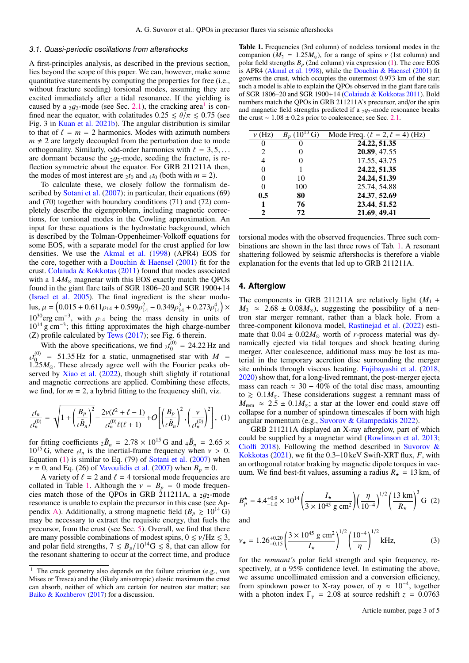#### 3.1. Quasi-periodic oscillations from aftershocks

A first-principles analysis, as described in the previous section, lies beyond the scope of this paper. We can, however, make some quantitative statements by computing the properties for free (i.e., without fracture seeding) torsional modes, assuming they are excited immediately after a tidal resonance. If the yielding is caused by a 2g<sub>2</sub>-mode (see Sec. [2.1\)](#page-1-0), the cracking area<sup>[1](#page-2-0)</sup> is con-<br>fined near the equator with colatitudes  $0.25 < \theta/\pi < 0.75$  (see fined near the equator, with colatitudes  $0.25 \le \theta/\pi \le 0.75$  (see Fig. 3 in [Kuan et al.](#page-3-14) [2021b\)](#page-3-14). The angular distribution is similar to that of  $\ell = m = 2$  harmonics. Modes with azimuth numbers  $m \neq 2$  are largely decoupled from the perturbation due to mode orthogonality. Similarly, odd-order harmonics with  $\ell = 3, 5, \ldots$ are dormant because the  $2q_2$ -mode, seeding the fracture, is reflection symmetric about the equator. For GRB 211211A then, the modes of most interest are  $_2t_0$  and  $_4t_0$  (both with  $m = 2$ ).

To calculate these, we closely follow the formalism de-scribed by [Sotani et al.](#page-3-22) [\(2007\)](#page-3-22); in particular, their equations (69) and (70) together with boundary conditions (71) and (72) completely describe the eigenproblem, including magnetic corrections, for torsional modes in the Cowling approximation. An input for these equations is the hydrostatic background, which is described by the Tolman-Oppenheimer-Volkoff equations for some EOS, with a separate model for the crust applied for low densities. We use the [Akmal et al.](#page-3-38) [\(1998\)](#page-3-38) (APR4) EOS for the core, together with a Douchin  $\&$  Haensel [\(2001\)](#page-3-39) fit for the crust. [Colaiuda & Kokkotas](#page-3-24) [\(2011\)](#page-3-24) found that modes associated with a  $1.4M_{\odot}$  magnetar with this EOS exactly match the QPOs found in the giant flare tails of SGR 1806–20 and SGR 1900+14 [\(Israel et al.](#page-3-34) [2005\)](#page-3-34). The final ingredient is the shear modulus,  $\mu = \left(0.015 + 0.611\rho_{14} + 0.599\rho_{14}^2 - 0.349\rho_{14}^3 + 0.273\rho_{14}^4\right) \times$ <br>10<sup>30</sup>  $10^{30}$ erg cm<sup>-3</sup>, with  $\rho_{14}$  being the mass density in units of  $10^{14}$  g cm<sup>-3</sup>; this fitting approximates the high charge-number  $(Z)$  profile calculated by [Tews](#page-3-25)  $(2017)$ ; see Fig. 6 therein.

With the above specifications, we find  $_2t_0^{(0)}$  $^{(0)}_{0}$  = 24.22 Hz and  $_4t_0^{(0)}$  $\frac{00}{0}$  = 51.35 Hz for a static, unmagnetised star with  $M = 25M_{\odot}$ . These already agree well with the Fourier peaks ob-1.25 $M_{\odot}$ . These already agree well with the Fourier peaks observed by Xiao et al. (2022) though shift slightly if rotational served by [Xiao et al.](#page-3-7) [\(2022\)](#page-3-7), though shift slightly if rotational and magnetic corrections are applied. Combining these effects, we find, for  $m = 2$ , a hybrid fitting to the frequency shift, viz.

$$
\frac{\ell^{t_n}}{\ell^{t_n}} = \sqrt{1 + \left(\frac{B_p}{\ell \tilde{B}_n}\right)^2} - \frac{2\nu(\ell^2 + \ell - 1)}{\ell^{t_n} \ell(\ell + 1)} + O\left[\left(\frac{B_p}{\ell \tilde{B}_n}\right)^2, \left(\frac{\nu}{\ell^{(0)}}\right)^2\right], (1)
$$

for fitting coefficients  $2\tilde{B}_n = 2.78 \times 10^{15}$  G and  $4\tilde{B}_n = 2.65 \times 10^{15}$  G where  $\epsilon t_n$  is the inertial-frame frequency when  $\nu > 0$ 10<sup>15</sup> G, where  ${}_{\ell}t_n$  is the inertial-frame frequency when  $v > 0$ .<br>Fouation (1) is similar to Eq. (79) of Sotani et al. (2007) when Equation [\(1\)](#page-2-1) is similar to Eq. (79) of [Sotani et al.](#page-3-22) [\(2007\)](#page-3-22) when  $v = 0$ , and Eq. (26) of [Vavoulidis et al.](#page-3-20) [\(2007\)](#page-3-20) when  $B_p = 0$ .

A variety of  $\ell = 2$  and  $\ell = 4$  torsional mode frequencies are collated in Table [1.](#page-2-2) Although the  $v = B_p = 0$  mode frequencies match those of the QPOs in GRB 211211A, a  $_2g_2$ -mode resonance is unable to explain the precursor in this case (see Ap-pendix [A\)](#page-4-0). Additionally, a strong magnetic field ( $B_p \ge 10^{14}$  G) may be necessary to extract the requisite energy, that fuels the precursor, from the crust (see Sec. [5\)](#page-3-37). Overall, we find that there are many possible combinations of modest spins,  $0 \le \nu / Hz \le 3$ , and polar field strengths,  $7 \leq B_p/10^{14}$ G  $\leq 8$ , that can allow for the resonant shattering to occur at the correct time, and produce

<span id="page-2-2"></span>Table 1. Frequencies (3rd column) of nodeless torsional modes in the companion ( $M_2 = 1.25 M_{\odot}$ ), for a range of spins v (1st column) and polar field strengths *B<sup>p</sup>* (2nd column) via expression [\(1\)](#page-2-1). The core EOS is APR4 [\(Akmal et al.](#page-3-38) [1998\)](#page-3-38), while the [Douchin & Haensel](#page-3-39) [\(2001\)](#page-3-39) fit governs the crust, which occupies the outermost 0.973 km of the star; such a model is able to explain the QPOs observed in the giant flare tails of SGR 1806–20 and SGR 1900+14 [\(Colaiuda & Kokkotas](#page-3-24) [2011\)](#page-3-24). Bold numbers match the QPOs in GRB 211211A's precursor, and/or the spin and magnetic field strengths predicted if a  $2q_2$ -mode resonance breaks the crust  $\sim 1.08 \pm 0.2$  s prior to coalescence; see Sec. [2.1.](#page-1-0)

| $\nu$ (Hz) | $B_p(10^{13}\,\text{G})$ | Mode Freq. $(\ell = 2, \ell = 4)$ (Hz) |
|------------|--------------------------|----------------------------------------|
|            |                          | 24.22, 51.35                           |
|            |                          | 20.89, 47.55                           |
|            |                          | 17.55, 43.75                           |
|            |                          | 24.22, 51.35                           |
|            | 10                       | 24.24, 51.39                           |
| 0          | 100                      | 25.74, 54.88                           |
| 0.5        | 80                       | 24.37, 52.69                           |
|            | 76                       | 23.44, 51.52                           |
| 2          | 72                       | 21.69, 49.41                           |
|            |                          |                                        |

torsional modes with the observed frequencies. Three such combinations are shown in the last three rows of Tab. [1.](#page-2-2) A resonant shattering followed by seismic aftershocks is therefore a viable explanation for the events that led up to GRB 211211A.

#### <span id="page-2-4"></span>**4. Afterglow**

The components in GRB 211211A are relatively light  $(M_1 +$  $M_2 \approx 2.68 \pm 0.08 M_{\odot}$ , suggesting the possibility of a neutron star merger remnant, rather than a black hole. From a three-component kilonova model, [Rastinejad et al.](#page-3-5) [\(2022\)](#page-3-5) estimate that  $0.04 \pm 0.02 M_{\odot}$  worth of *r*-process material was dynamically ejected via tidal torques and shock heating during merger. After coalescence, additional mass may be lost as material in the temporary accretion disc surrounding the merger site unbinds through viscous heating. [Fujibayashi et al.](#page-3-41) [\(2018,](#page-3-41) [2020\)](#page-3-42) show that, for a long-lived remnant, the post-merger ejecta mass can reach  $\approx 30 - 40\%$  of the total disc mass, amounting to  $\geq 0.1 M_{\odot}$ . These considerations suggest a remnant mass of  $M_{\text{rem}} \approx 2.5 \pm 0.1 M_{\odot}$ ; a star at the lower end could stave off collapse for a number of spindown timescales if born with high angular momentum (e.g., [Suvorov & Glampedakis](#page-3-43) [2022\)](#page-3-43).

<span id="page-2-1"></span>GRB 211211A displayed an X-ray afterglow, part of which could be supplied by a magnetar wind [\(Rowlinson et al.](#page-3-28) [2013;](#page-3-28) [Ciolfi](#page-3-2) [2018\)](#page-3-2). Following the method described in [Suvorov &](#page-3-44) [Kokkotas](#page-3-44) [\(2021\)](#page-3-44), we fit the 0.3–10 keV Swift-XRT flux, *<sup>F</sup>*, with an orthogonal rotator braking by magnetic dipole torques in vacuum. We find best-fit values, assuming a radius  $R_{\star} = 13 \text{ km}$ , of

$$
B_p^{\star} = 4.4^{+0.9}_{-1.0} \times 10^{14} \left(\frac{I_{\star}}{3 \times 10^{45} \text{ g cm}^2}\right) \left(\frac{\eta}{10^{-4}}\right)^{1/2} \left(\frac{13 \text{ km}}{R_{\star}}\right)^3 \text{G (2)}
$$

<span id="page-2-3"></span>and

$$
\nu_{\star} = 1.26^{+0.20}_{-0.15} \left( \frac{3 \times 10^{45} \text{ g cm}^2}{I_{\star}} \right)^{1/2} \left( \frac{10^{-4}}{\eta} \right)^{1/2} \text{kHz},\tag{3}
$$

for the *remnant's* polar field strength and spin frequency, respectively, at a  $95\%$  confidence level. In estimating the above, we assume uncollimated emission and a conversion efficiency, from spindown power to X-ray power, of  $\eta \approx 10^{-4}$ , together with a photon index  $\Gamma_{\text{eff}} = 2.08$  at source redshift  $z = 0.0763$ with a photon index  $\Gamma_{\gamma}$  = 2.08 at source redshift  $z = 0.0763$ 

Article number, page 3 of 5

<span id="page-2-0"></span><sup>&</sup>lt;sup>1</sup> The crack geometry also depends on the failure criterion (e.g., von Mises or Tresca) and the (likely anisotropic) elastic maximum the crust can absorb, neither of which are certain for neutron star matter; see [Baiko & Kozhberov](#page-3-40) [\(2017\)](#page-3-40) for a discussion.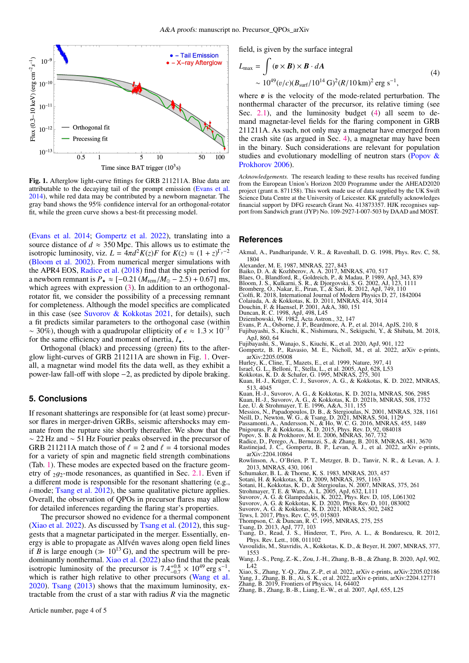

<span id="page-3-47"></span>Fig. 1. Afterglow light-curve fittings for GRB 211211A. Blue data are attributable to the decaying tail of the prompt emission [\(Evans et al.](#page-3-45) [2014\)](#page-3-45), while red data may be contributed by a newborn magnetar. The gray band shows the 95% confidence interval for an orthogonal-rotator fit, while the green curve shows a best-fit precessing model.

[\(Evans et al.](#page-3-45) [2014;](#page-3-45) [Gompertz et al.](#page-3-4) [2022\)](#page-3-4), translating into a source distance of  $d \approx 350$  Mpc. This allows us to estimate the isotropic luminosity, viz.  $L = 4\pi d^2 K(z)F$  for  $K(z) \approx (1 + z)^{\Gamma_Y - 2}$ <br>(Bloom et al. 2002). From numerical merger simulations with [\(Bloom et al.](#page-3-0) [2002\)](#page-3-0). From numerical merger simulations with the APR4 EOS, [Radice et al.](#page-3-46) [\(2018\)](#page-3-46) find that the spin period for a newborn remnant is  $P_{\star} \approx [-0.21 (M_{\text{rem}}/M_{\odot} - 2.5) + 0.67] \text{ ms}$ , which agrees with expression [\(3\)](#page-2-3). In addition to an orthogonalrotator fit, we consider the possibility of a precessing remnant for completeness. Although the model specifics are complicated in this case (see [Suvorov & Kokkotas](#page-3-44) [2021,](#page-3-44) for details), such a fit predicts similar parameters to the orthogonal case (within ~ 30%), though with a quadrupolar ellipticity of  $\epsilon \approx 1.3 \times 10^{-7}$ for the same efficiency and moment of inertia,  $I_{\star}$ .

Orthogonal (black) and precessing (green) fits to the afterglow light-curves of GRB 211211A are shown in Fig. [1.](#page-3-47) Overall, a magnetar wind model fits the data well, as they exhibit a power-law fall-off with slope −2, as predicted by dipole braking.

## <span id="page-3-37"></span>**5. Conclusions**

If resonant shatterings are responsible for (at least some) precursor flares in merger-driven GRBs, seismic aftershocks may emanate from the rupture site shortly thereafter. We show that the ∼ 22 Hz and ∼ 51 Hz Fourier peaks observed in the precursor of GRB 211211A match those of  $\ell = 2$  and  $\ell = 4$  torsional modes for a variety of spin and magnetic field strength combinations (Tab. [1\)](#page-2-2). These modes are expected based on the fracture geometry of  $2g_2$ -mode resonances, as quantified in Sec. [2.1.](#page-1-0) Even if a different mode is responsible for the resonant shattering (e.g., *i*-mode; [Tsang et al.](#page-3-10) [2012\)](#page-3-10), the same qualitative picture applies. Overall, the observation of QPOs in precursor flares may allow for detailed inferences regarding the flaring star's properties.

The precursor showed no evidence for a thermal component [\(Xiao et al.](#page-3-7) [2022\)](#page-3-7). As discussed by [Tsang et al.](#page-3-10) [\(2012\)](#page-3-10), this suggests that a magnetar participated in the merger. Essentially, energy is able to propagate as Alfvén waves along open field lines if *B* is large enough ( $\gg 10^{13}$  G), and the spectrum will be predominantly nonthermal. [Xiao et al.](#page-3-7) [\(2022\)](#page-3-7) also find that the peak isotropic luminosity of the precursor is  $7.4^{+0.8}_{-0.7} \times 10^{49}$  erg s<sup>-1</sup>,<br>which is rather high relative to other precursors (Wang et al. Solution is  $(1.4)$  and  $-0.7$  and  $(1.4)$  and  $(1.4)$  and  $(1.4)$  and  $(1.4)$  and  $(1.4)$  and  $(1.4)$  and  $(1.4)$  and  $(1.4)$  and  $(1.4)$  and  $(1.4)$  and  $(1.4)$  and  $(1.4)$  and  $(1.4)$  and  $(1.4)$  and  $(1.4)$  and  $(1.4)$ [2020\)](#page-3-8). [Tsang](#page-3-11) [\(2013\)](#page-3-11) shows that the maximum luminosity, extractable from the crust of a star with radius *R* via the magnetic

<span id="page-3-48"></span>field, is given by the surface integral

$$
L_{\text{max}} = \int (\mathbf{v} \times \mathbf{B}) \times \mathbf{B} \cdot d\mathbf{A}
$$
  
~ 10<sup>49</sup>( $v/c$ )( $B_{\text{surf}}/10^{14} \text{ G}$ )<sup>2</sup>( $R/10 \text{ km}$ )<sup>2</sup> erg s<sup>-1</sup>, (4)

where  $\boldsymbol{v}$  is the velocity of the mode-related perturbation. The nonthermal character of the precursor its relative timing (see nonthermal character of the precursor, its relative timing (see Sec.  $2.1$ ), and the luminosity budget  $(4)$  all seem to demand magnetar-level fields for the flaring component in GRB 211211A. As such, not only may a magnetar have emerged from the crash site (as argued in Sec. [4\)](#page-2-4), a magnetar may have been in the binary. Such considerations are relevant for population studies and evolutionary modelling of neutron stars [\(Popov &](#page-3-33) [Prokhorov](#page-3-33) [2006\)](#page-3-33).

*Acknowledgements.* The research leading to these results has received funding from the European Union's Horizon 2020 Programme under the AHEAD2020 project (grant n. 871158). This work made use of data supplied by the UK Swift Science Data Centre at the University of Leicester. KK gratefully acknowledges financial support by DFG research Grant No. 413873357. HJK recognises support from Sandwich grant (JYP) No. 109-2927-I-007-503 by DAAD and MOST.

#### **References**

- <span id="page-3-38"></span>Akmal, A., Pandharipande, V. R., & Ravenhall, D. G. 1998, Phys. Rev. C, 58, 1804
- <span id="page-3-29"></span>Alexander, M. E. 1987, MNRAS, 227, 843
- <span id="page-3-40"></span>Baiko, D. A. & Kozhberov, A. A. 2017, MNRAS, 470, 517
- <span id="page-3-17"></span><span id="page-3-0"></span>
- <span id="page-3-1"></span>
- Blaes, O., Blandford, R., Goldreich, P., & Madau, P. 1989, ApJ, 343, 839<br>Bloom, J. S., Kulkarni, S. R., & Djorgovski, S. G. 2002, AJ, 123, 1111<br>Bromberg, O., Nakar, E., Piran, T., & Sari, R. 2012, ApJ, 749, 110<br>Ciolfi, R.
- <span id="page-3-2"></span>
- <span id="page-3-39"></span><span id="page-3-24"></span>Colaiuda, A. & Kokkotas, K. D. 2011, MNRAS, 414, 3014 Douchin, F. & Haensel, P. 2001, A&A, 380, 151
- <span id="page-3-16"></span>
- <span id="page-3-45"></span><span id="page-3-35"></span>
- Duncan, R. C. 1998, ApJ, 498, L45 Dziembowski, W. 1982, Acta Astron., 32, 147 Evans, P. A., Osborne, J. P., Beardmore, A. P., et al. 2014, ApJS, 210, 8
- <span id="page-3-41"></span>Fujibayashi, S., Kiuchi, K., Nishimura, N., Sekiguchi, Y., & Shibata, M. 2018,
- <span id="page-3-42"></span>ApJ, 860, 64 Fujibayashi, S., Wanajo, S., Kiuchi, K., et al. 2020, ApJ, 901, 122 Gompertz, B. P., Ravasio, M. E., Nicholl, M., et al. 2022, arXiv e-prints,
- <span id="page-3-4"></span>arXiv:2205.05008
- <span id="page-3-34"></span><span id="page-3-26"></span>Hurley, K., Cline, T., Mazets, E., et al. 1999, Nature, 397, 41 Israel, G. L., Belloni, T., Stella, L., et al. 2005, ApJ, 628, L53 Kokkotas, K. D. & Schafer, G. 1995, MNRAS, 275, 301
- <span id="page-3-30"></span>
- <span id="page-3-32"></span>Kuan, H.-J., Krüger, C. J., Suvorov, A. G., & Kokkotas, K. D. 2022, MNRAS, 513, 4045

<span id="page-3-49"></span>Kuan, H.-J., Suvorov, A. G., & Kokkotas, K. D. 2021a, MNRAS, 506, 2985

- <span id="page-3-21"></span>
- <span id="page-3-19"></span><span id="page-3-14"></span>Kuan, H.-J., Suvorov, A. G., & Kokkotas, K. D. 2021b, MNRAS, 508, 1732<br>Lee, U. & Strohmayer, T. E. 1996, A&A, 311, 155<br>Messios, N., Papadopoulos, D. B., & Stergioulas, N. 2001, MNRAS, 328, 1161<br>Neill, D., Newton, W. G., &
- <span id="page-3-31"></span><span id="page-3-13"></span>
- <span id="page-3-36"></span>Passamonti, A., Andersson, N., & Ho, W. C. G. 2016, MNRAS, 455, 1489 Pnigouras, P. & Kokkotas, K. D. 2015, Phys. Rev. D, 92, 084018 Popov, S. B. & Prokhorov, M. E. 2006, MNRAS, 367, 732
- <span id="page-3-33"></span>
- <span id="page-3-46"></span>
- <span id="page-3-5"></span>Radice, D., Perego, A., Bernuzzi, S., & Zhang, B. 2018, MNRAS, 481, 3670 Rastinejad, J. C., Gompertz, B. P., Levan, A. J., et al. 2022, arXiv e-prints, arXiv:2204.10864
- <span id="page-3-28"></span>Rowlinson, A., O'Brien, P. T., Metzger, B. D., Tanvir, N. R., & Levan, A. J.
- <span id="page-3-23"></span>
- <span id="page-3-18"></span>2013, MNRAS, 430, 1061 Schumaker, B. L. & Thorne, K. S. 1983, MNRAS, 203, 457 Sotani, H. & Kokkotas, K. D. 2009, MNRAS, 395, 1163
- <span id="page-3-27"></span><span id="page-3-22"></span>Sotani, H., Kokkotas, K. D., & Stergioulas, N. 2007, MNRAS, 375, 261 Strohmayer, T. E. & Watts, A. L. 2005, ApJ, 632, L111 Suvorov, A. G. & Glampedakis, K. 2022, Phys. Rev. D, 105, L061302
- <span id="page-3-43"></span>
- <span id="page-3-12"></span>

<span id="page-3-44"></span>Suvorov, A. G. & Kokkōtas, K. D. 2020, Phys. Rev. D, 101, 083002<br>Suvorov, A. G. & Kokkotas, K. D. 2021, MNRAS, 502, 2482<br>Tews, I. 2017, Phys. Rev. C, 95, 015803<br>Thompson, C. & Duncan, R. C. 1995, MNRAS, 275, 255

- <span id="page-3-25"></span>
- <span id="page-3-15"></span>
- 
- <span id="page-3-11"></span><span id="page-3-10"></span>Tsang, D. 2013, ApJ, 777, 103 Tsang, D., Read, J. S., Hinderer, T., Piro, A. L., & Bondarescu, R. 2012, Phys. Rev. Lett., 108, 011102
- <span id="page-3-20"></span>Vavoulidis, M., Stavridis, A., Kokkotas, K. D., & Beyer, H. 2007, MNRAS, 377, 1553
- <span id="page-3-8"></span>Wang, J.-S., Peng, Z.-K., Zou, J.-H., Zhang, B.-B., & Zhang, B. 2020, ApJ, 902,  $L<sub>42</sub>$
- <span id="page-3-7"></span>Xiao, S., Zhang, Y.-Q., Zhu, Z.-P., et al. 2022, arXiv e-prints, arXiv:2205.02186
- 
- <span id="page-3-3"></span>
- <span id="page-3-9"></span><span id="page-3-6"></span>Yang, J., Zhang, B. B., Ai, S. K., et al. 2022, arXiv e-prints, arXiv:2204.12771 Zhang, B. 2019, Frontiers of Physics, 14, 64402 Zhang, B., Zhang, B.-B., Liang, E.-W., et al. 2007, ApJ, 655, L25